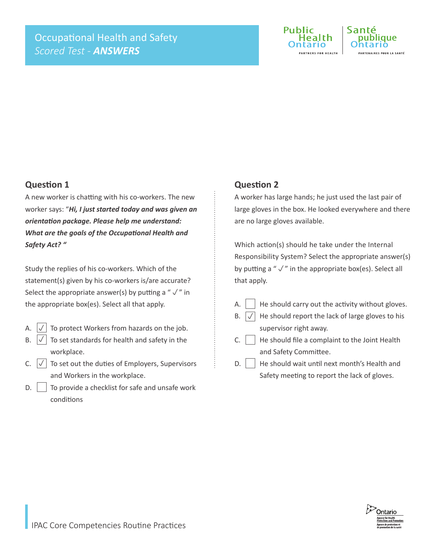

#### **Question 1**

A new worker is chatting with his co-workers. The new worker says: "*Hi, I just started today and was given an orientation package. Please help me understand: What are the goals of the Occupational Health and Safety Act? "*

Study the replies of his co-workers. Which of the statement(s) given by his co-workers is/are accurate? Select the appropriate answer(s) by putting a " $\sqrt{ }$ " in the appropriate box(es). Select all that apply.

- A.  $\left| \sqrt{\right|}$  To protect Workers from hazards on the job.  $\downarrow$
- B.  $\vert \sqrt{\vert}$  To set standards for health and safety in the workplace.  $\vert \sqrt{\vert}$
- C.  $\boxed{\checkmark}$  To set out the duties of Employers, Supervisors and Workers in the workplace.
- $\mathsf{D}$ .  $\vert$  To provide a checklist for safe and unsafe work conditions

#### **Question 2**

A worker has large hands; he just used the last pair of large gloves in the box. He looked everywhere and there are no large gloves available.

Which action(s) should he take under the Internal Responsibility System? Select the appropriate answer(s) by putting a " $\sqrt{ }$ " in the appropriate box(es). Select all that apply.

A.  $\parallel$  He should carry out the activity without gloves.

He should report the lack of large gloves to his

- $B. \vert \sqrt{\vert}$
- supervisor right away.  $C.$  He should file a complaint to the Joint Health and Safety Committee.
- $D.$  He should wait until next month's Health and Safety meeting to report the lack of gloves.

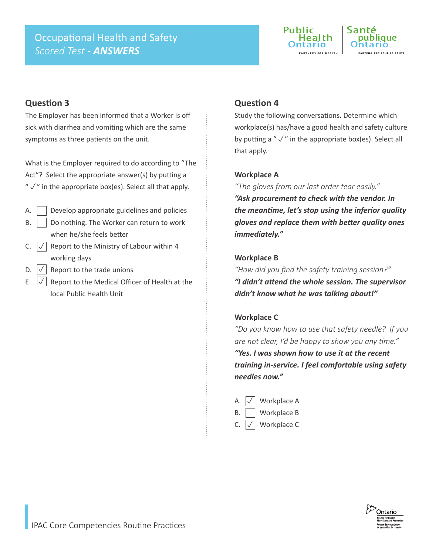# Occupational Health and Safety *Scored Test - ANSWERS*



## **Question 3**

The Employer has been informed that a Worker is off sick with diarrhea and vomiting which are the same symptoms as three patients on the unit.

What is the Employer required to do according to "The Act"? Select the appropriate answer(s) by putting a " $\sqrt{ }$ " in the appropriate box(es). Select all that apply.

- $A.$  Develop appropriate guidelines and policies  $B.$  | Do nothing. The Worker can return to work when he/she feels better
- C.  $\sqrt{\phantom{a}}$  Report to the Ministry of Labour within 4 working days
- D.  $\left| \sqrt{\right|}$  Report to the trade unions  $\overline{\sqrt{} }$
- E.  $\vert \sqrt{\vert}$  Report to the Medical Officer of Health at the local Public Health Unit  $\overline{\sqrt{} }$

## **Question 4**

Study the following conversations. Determine which workplace(s) has/have a good health and safety culture by putting a " $\sqrt{ }$ " in the appropriate box(es). Select all that apply.

#### **Workplace A**

*"The gloves from our last order tear easily." "Ask procurement to check with the vendor. In the meantime, let's stop using the inferior quality gloves and replace them with better quality ones immediately."* 

#### **Workplace B**

*"How did you find the safety training session?" "I didn't attend the whole session. The supervisor didn't know what he was talking about!"*

#### **Workplace C**

*"Do you know how to use that safety needle? If you are not clear, I'd be happy to show you any time."*

*"Yes. I was shown how to use it at the recent training in-service. I feel comfortable using safety needles now."*

A.  $\left| \sqrt{\right|}$  Workplace A B. Workplace B C.  $\vert \sqrt{\vert}$  Workplace C  $\overline{\vee}$  $\overline{\sqrt{} }$ 

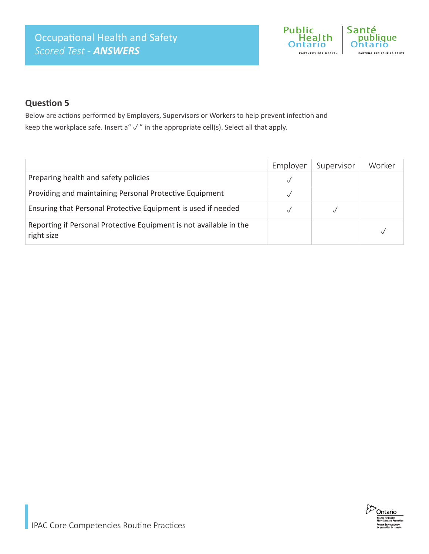

## **Question 5**

Below are actions performed by Employers, Supervisors or Workers to help prevent infection and keep the workplace safe. Insert a"  $\sqrt{ }$ " in the appropriate cell(s). Select all that apply.

|                                                                                  | Employer | Supervisor | Worker |
|----------------------------------------------------------------------------------|----------|------------|--------|
| Preparing health and safety policies                                             |          |            |        |
| Providing and maintaining Personal Protective Equipment                          |          |            |        |
| Ensuring that Personal Protective Equipment is used if needed                    |          |            |        |
| Reporting if Personal Protective Equipment is not available in the<br>right size |          |            |        |